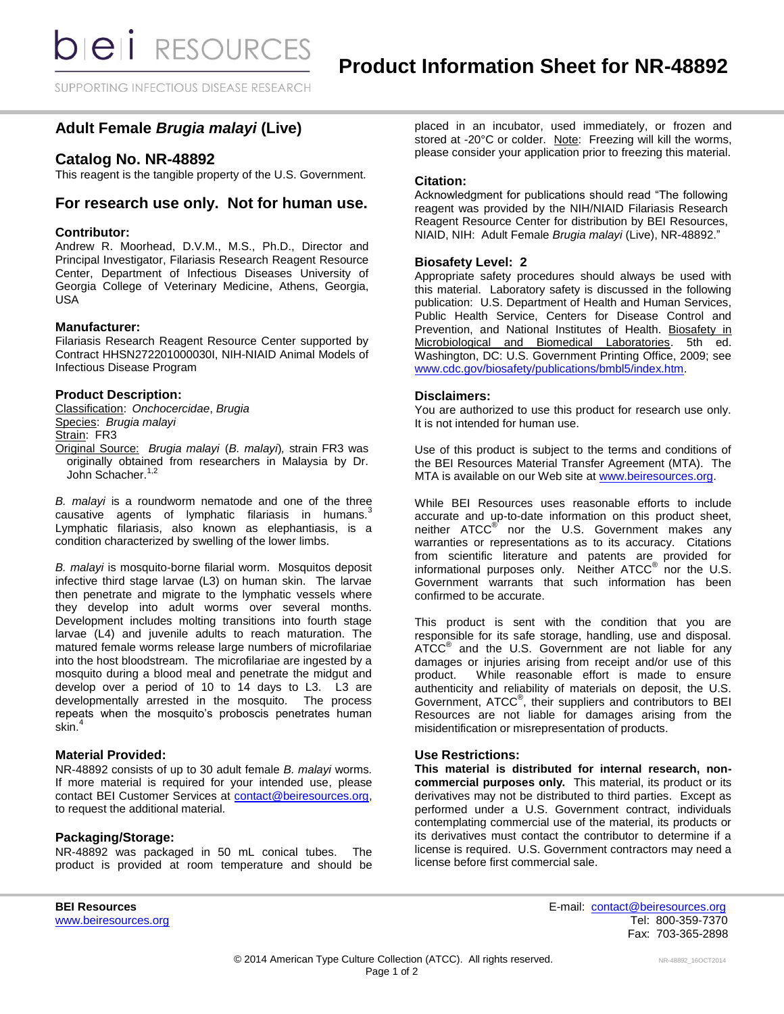SUPPORTING INFECTIOUS DISEASE RESEARCH

# **Adult Female** *Brugia malayi* **(Live)**

## **Catalog No. NR-48892**

This reagent is the tangible property of the U.S. Government.

## **For research use only. Not for human use.**

### **Contributor:**

Andrew R. Moorhead, D.V.M., M.S., Ph.D., Director and Principal Investigator, Filariasis Research Reagent Resource Center, Department of Infectious Diseases University of Georgia College of Veterinary Medicine, Athens, Georgia, USA

## **Manufacturer:**

Filariasis Research Reagent Resource Center supported by Contract HHSN272201000030I, NIH-NIAID Animal Models of Infectious Disease Program

## **Product Description:**

Classification: *Onchocercidae*, *Brugia* Species: *Brugia malayi* Strain: FR3 Original Source: *Brugia malayi* (*B. malayi*)*,* strain FR3 was originally obtained from researchers in Malaysia by Dr. John Schacher.<sup>1,2</sup>

*B. malayi* is a roundworm nematode and one of the three causative agents of lymphatic filariasis in humans.<sup>3</sup> Lymphatic filariasis, also known as elephantiasis, is a condition characterized by swelling of the lower limbs.

*B. malayi* is mosquito-borne filarial worm. Mosquitos deposit infective third stage larvae (L3) on human skin. The larvae then penetrate and migrate to the lymphatic vessels where they develop into adult worms over several months. Development includes molting transitions into fourth stage larvae (L4) and juvenile adults to reach maturation. The matured female worms release large numbers of microfilariae into the host bloodstream. The microfilariae are ingested by a mosquito during a blood meal and penetrate the midgut and develop over a period of 10 to 14 days to L3. L3 are developmentally arrested in the mosquito. The process repeats when the mosquito's proboscis penetrates human skin.<sup>4</sup>

## **Material Provided:**

NR-48892 consists of up to 30 adult female *B. malayi* worms*.*  If more material is required for your intended use, please contact BEI Customer Services at [contact@beiresources.org,](mailto:contact@beiresources.org) to request the additional material*.*

## **Packaging/Storage:**

NR-48892 was packaged in 50 mL conical tubes. The product is provided at room temperature and should be placed in an incubator, used immediately, or frozen and stored at -20°C or colder. Note: Freezing will kill the worms, please consider your application prior to freezing this material.

#### **Citation:**

Acknowledgment for publications should read "The following reagent was provided by the NIH/NIAID Filariasis Research Reagent Resource Center for distribution by BEI Resources, NIAID, NIH: Adult Female *Brugia malayi* (Live), NR-48892."

## **Biosafety Level: 2**

Appropriate safety procedures should always be used with this material. Laboratory safety is discussed in the following publication: U.S. Department of Health and Human Services, Public Health Service, Centers for Disease Control and Prevention, and National Institutes of Health. Biosafety in Microbiological and Biomedical Laboratories. 5th ed. Washington, DC: U.S. Government Printing Office, 2009; see [www.cdc.gov/biosafety/publications/bmbl5/index.htm.](http://www.cdc.gov/biosafety/publications/bmbl5/index.htm)

#### **Disclaimers:**

You are authorized to use this product for research use only. It is not intended for human use.

Use of this product is subject to the terms and conditions of the BEI Resources Material Transfer Agreement (MTA). The MTA is available on our Web site at [www.beiresources.org.](http://www.beiresources.org/)

While BEI Resources uses reasonable efforts to include accurate and up-to-date information on this product sheet, neither ATCC<sup>®</sup> nor the U.S. Government makes any warranties or representations as to its accuracy. Citations from scientific literature and patents are provided for informational purposes only. Neither ATCC<sup>®</sup> nor the U.S. Government warrants that such information has been confirmed to be accurate.

This product is sent with the condition that you are responsible for its safe storage, handling, use and disposal. ATCC<sup>®</sup> and the U.S. Government are not liable for any damages or injuries arising from receipt and/or use of this product. While reasonable effort is made to ensure authenticity and reliability of materials on deposit, the U.S. Government, ATCC® , their suppliers and contributors to BEI Resources are not liable for damages arising from the misidentification or misrepresentation of products.

## **Use Restrictions:**

**This material is distributed for internal research, noncommercial purposes only.** This material, its product or its derivatives may not be distributed to third parties. Except as performed under a U.S. Government contract, individuals contemplating commercial use of the material, its products or its derivatives must contact the contributor to determine if a license is required. U.S. Government contractors may need a license before first commercial sale.

**BEI Resources** E-mail: [contact@beiresources.org](mailto:contact@beiresources.org) [www.beiresources.org](http://www.beiresources.org/)Tel: 800-359-7370 Fax: 703-365-2898